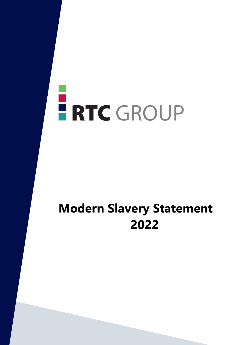# ERTC GROUP

# **Modern Slavery Statement 2022**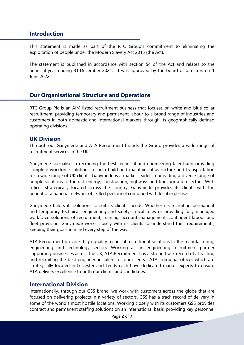#### **Introduction**

This statement is made as part of the RTC Group's commitment to eliminating the exploitation of people under the Modern Slavery Act 2015 (the Act).

The statement is published in accordance with section 54 of the Act and relates to the financial year ending 31 December 2021. It was approved by the board of directors on 1 June 2022.

# **Our Organisational Structure and Operations**

RTC Group Plc is an AIM listed recruitment business that focuses on white and blue-collar recruitment, providing temporary and permanent labour to a broad range of industries and customers in both domestic and international markets through its geographically defined operating divisions.

#### **UK Division**

Through our Ganymede and ATA Recruitment brands the Group provides a wide range of recruitment services in the UK.

Ganymede specialise in recruiting the best technical and engineering talent and providing complete workforce solutions to help build and maintain infrastructure and transportation for a wide range of UK clients. Ganymede is a market leader in providing a diverse range of people solutions to the rail, energy, construction, highways and transportation sectors. With offices strategically located across the country, Ganymede provides its clients with the benefit of a national network of skilled personnel combined with local expertise.

Ganymede tailors its solutions to suit its clients' needs. Whether it's recruiting permanent and temporary technical, engineering and safety-critical roles or providing fully managed workforce solutions of recruitment, training, account management, contingent labour and fleet provision, Ganymede works closely with its clients to understand their requirements, keeping their goals in mind every step of the way.

ATA Recruitment provides high-quality technical recruitment solutions to the manufacturing, engineering and technology sectors. Working as an engineering recruitment partner supporting businesses across the UK, ATA Recruitment has a strong track record of attracting and recruiting the best engineering talent for our clients. ATA's regional offices which are strategically located in Leicester and Leeds each have dedicated market experts to ensure ATA delivers excellence to both our clients and candidates.

#### **International Division**

Internationally, through our GSS brand, we work with customers across the globe that are focused on delivering projects in a variety of sectors. GSS has a track record of delivery in some of the world's most hostile locations. Working closely with its customers GSS provides contract and permanent staffing solutions on an international basis, providing key personnel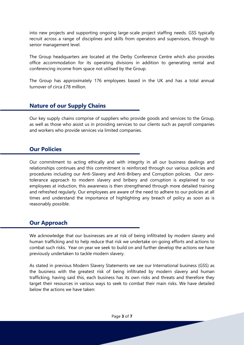into new projects and supporting ongoing large-scale project staffing needs. GSS typically recruit across a range of disciplines and skills from operators and supervisors, through to senior management level.

The Group headquarters are located at the Derby Conference Centre which also provides office accommodation for its operating divisions in addition to generating rental and conferencing income from space not utilised by the Group.

The Group has approximately 176 employees based in the UK and has a total annual turnover of circa £78 million.

### **Nature of our Supply Chains**

Our key supply chains comprise of suppliers who provide goods and services to the Group, as well as those who assist us in providing services to our clients such as payroll companies and workers who provide services via limited companies.

#### **Our Policies**

Our commitment to acting ethically and with integrity in all our business dealings and relationships continues and this commitment is reinforced through our various policies and procedures including our Anti-Slavery and Anti-Bribery and Corruption policies. Our zerotolerance approach to modern slavery and bribery and corruption is explained to our employees at induction, this awareness is then strengthened through more detailed training and refreshed regularly. Our employees are aware of the need to adhere to our policies at all times and understand the importance of highlighting any breach of policy as soon as is reasonably possible.

#### **Our Approach**

We acknowledge that our businesses are at risk of being infiltrated by modern slavery and human trafficking and to help reduce that risk we undertake on-going efforts and actions to combat such risks. Year on year we seek to build on and further develop the actions we have previously undertaken to tackle modern slavery.

As stated in previous Modern Slavery Statements we see our International business (GSS) as the business with the greatest risk of being infiltrated by modern slavery and human trafficking, having said this, each business has its own risks and threats and therefore they target their resources in various ways to seek to combat their main risks. We have detailed below the actions we have taken: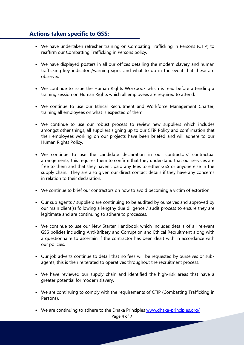# **Actions taken specific to GSS:**

- We have undertaken refresher training on Combating Trafficking in Persons (CTiP) to reaffirm our Combatting Trafficking in Persons policy.
- We have displayed posters in all our offices detailing the modern slavery and human trafficking key indicators/warning signs and what to do in the event that these are observed.
- We continue to issue the Human Rights Workbook which is read before attending a training session on Human Rights which all employees are required to attend.
- We continue to use our Ethical Recruitment and Workforce Management Charter, training all employees on what is expected of them.
- We continue to use our robust process to review new suppliers which includes amongst other things, all suppliers signing up to our CTiP Policy and confirmation that their employees working on our projects have been briefed and will adhere to our Human Rights Policy.
- We continue to use the candidate declaration in our contractors' contractual arrangements, this requires them to confirm that they understand that our services are free to them and that they haven't paid any fees to either GSS or anyone else in the supply chain. They are also given our direct contact details if they have any concerns in relation to their declaration.
- We continue to brief our contractors on how to avoid becoming a victim of extortion.
- Our sub agents / suppliers are continuing to be audited by ourselves and approved by our main client(s) following a lengthy due diligence / audit process to ensure they are legitimate and are continuing to adhere to processes.
- We continue to use our New Starter Handbook which includes details of all relevant GSS policies including Anti-Bribery and Corruption and Ethical Recruitment along with a questionnaire to ascertain if the contractor has been dealt with in accordance with our policies.
- Our job adverts continue to detail that no fees will be requested by ourselves or subagents, this is then reiterated to operatives throughout the recruitment process.
- We have reviewed our supply chain and identified the high-risk areas that have a greater potential for modern slavery.
- We are continuing to comply with the requirements of CTIP (Combatting Trafficking in Persons).
- We are continuing to adhere to the Dhaka Principles [www.dhaka-principles.org/](http://www.dhaka-principles.org/)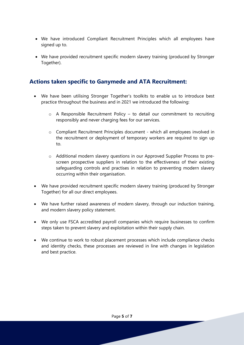- We have introduced Compliant Recruitment Principles which all employees have signed up to.
- We have provided recruitment specific modern slavery training (produced by Stronger Together).

# **Actions taken specific to Ganymede and ATA Recruitment:**

- We have been utilising Stronger Together's toolkits to enable us to introduce best practice throughout the business and in 2021 we introduced the following:
	- o A Responsible Recruitment Policy to detail our commitment to recruiting responsibly and never charging fees for our services.
	- o Compliant Recruitment Principles document which all employees involved in the recruitment or deployment of temporary workers are required to sign up to.
	- o Additional modern slavery questions in our Approved Supplier Process to prescreen prospective suppliers in relation to the effectiveness of their existing safeguarding controls and practises in relation to preventing modern slavery occurring within their organisation.
- We have provided recruitment specific modern slavery training (produced by Stronger Together) for all our direct employees.
- We have further raised awareness of modern slavery, through our induction training, and modern slavery policy statement.
- We only use FSCA accredited payroll companies which require businesses to confirm steps taken to prevent slavery and exploitation within their supply chain.
- We continue to work to robust placement processes which include compliance checks and identity checks, these processes are reviewed in line with changes in legislation and best practice.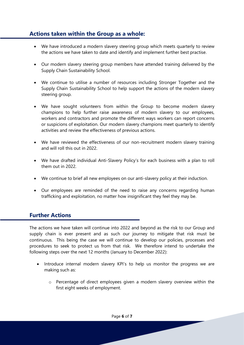# **Actions taken within the Group as a whole:**

- We have introduced a modern slavery steering group which meets quarterly to review the actions we have taken to date and identify and implement further best practise.
- Our modern slavery steering group members have attended training delivered by the Supply Chain Sustainability School.
- We continue to utilise a number of resources including Stronger Together and the Supply Chain Sustainability School to help support the actions of the modern slavery steering group.
- We have sought volunteers from within the Group to become modern slavery champions to help further raise awareness of modern slavery to our employees, workers and contractors and promote the different ways workers can report concerns or suspicions of exploitation. Our modern slavery champions meet quarterly to identify activities and review the effectiveness of previous actions.
- We have reviewed the effectiveness of our non-recruitment modern slavery training and will roll this out in 2022.
- We have drafted individual Anti-Slavery Policy's for each business with a plan to roll them out in 2022.
- We continue to brief all new employees on our anti-slavery policy at their induction.
- Our employees are reminded of the need to raise any concerns regarding human trafficking and exploitation, no matter how insignificant they feel they may be.

# **Further Actions**

The actions we have taken will continue into 2022 and beyond as the risk to our Group and supply chain is ever present and as such our journey to mitigate that risk must be continuous. This being the case we will continue to develop our policies, processes and procedures to seek to protect us from that risk. We therefore intend to undertake the following steps over the next 12 months (January to December 2022):

- Introduce internal modern slavery KPI's to help us monitor the progress we are making such as:
	- o Percentage of direct employees given a modern slavery overview within the first eight weeks of employment.